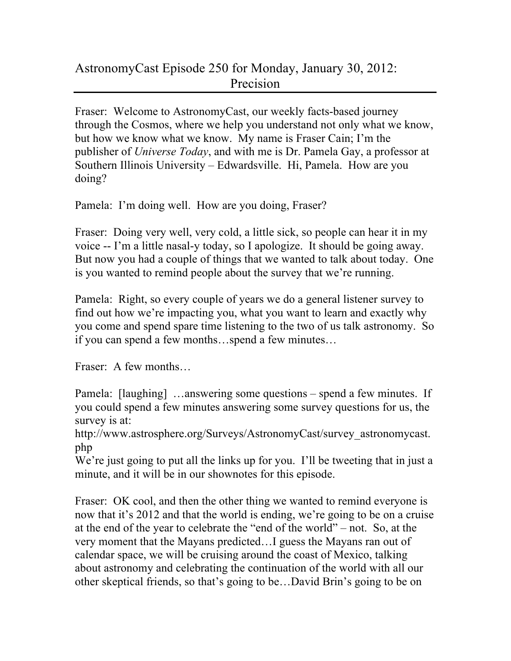## AstronomyCast Episode 250 for Monday, January 30, 2012: Precision

Fraser: Welcome to AstronomyCast, our weekly facts-based journey through the Cosmos, where we help you understand not only what we know, but how we know what we know. My name is Fraser Cain; I'm the publisher of *Universe Today*, and with me is Dr. Pamela Gay, a professor at Southern Illinois University – Edwardsville. Hi, Pamela. How are you doing?

Pamela: I'm doing well. How are you doing, Fraser?

Fraser: Doing very well, very cold, a little sick, so people can hear it in my voice -- I'm a little nasal-y today, so I apologize. It should be going away. But now you had a couple of things that we wanted to talk about today. One is you wanted to remind people about the survey that we're running.

Pamela: Right, so every couple of years we do a general listener survey to find out how we're impacting you, what you want to learn and exactly why you come and spend spare time listening to the two of us talk astronomy. So if you can spend a few months…spend a few minutes…

Fraser: A few months…

Pamela: [laughing] …answering some questions – spend a few minutes. If you could spend a few minutes answering some survey questions for us, the survey is at:

http://www.astrosphere.org/Surveys/AstronomyCast/survey\_astronomycast. php

We're just going to put all the links up for you. I'll be tweeting that in just a minute, and it will be in our shownotes for this episode.

Fraser: OK cool, and then the other thing we wanted to remind everyone is now that it's 2012 and that the world is ending, we're going to be on a cruise at the end of the year to celebrate the "end of the world" – not. So, at the very moment that the Mayans predicted…I guess the Mayans ran out of calendar space, we will be cruising around the coast of Mexico, talking about astronomy and celebrating the continuation of the world with all our other skeptical friends, so that's going to be…David Brin's going to be on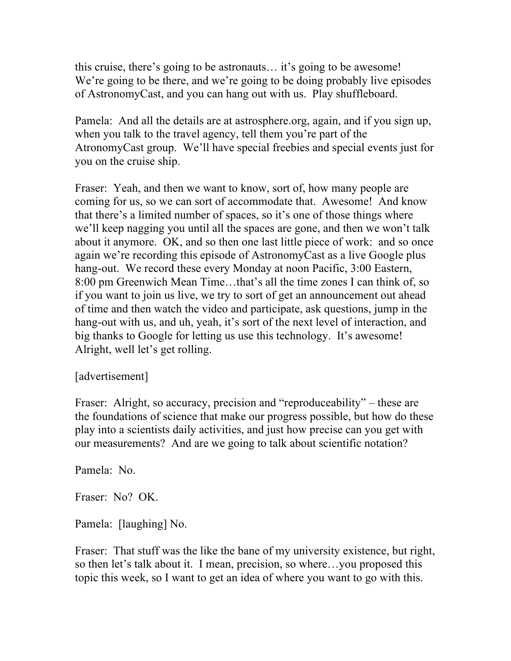this cruise, there's going to be astronauts… it's going to be awesome! We're going to be there, and we're going to be doing probably live episodes of AstronomyCast, and you can hang out with us. Play shuffleboard.

Pamela: And all the details are at astrosphere.org, again, and if you sign up, when you talk to the travel agency, tell them you're part of the AtronomyCast group. We'll have special freebies and special events just for you on the cruise ship.

Fraser: Yeah, and then we want to know, sort of, how many people are coming for us, so we can sort of accommodate that. Awesome! And know that there's a limited number of spaces, so it's one of those things where we'll keep nagging you until all the spaces are gone, and then we won't talk about it anymore. OK, and so then one last little piece of work: and so once again we're recording this episode of AstronomyCast as a live Google plus hang-out. We record these every Monday at noon Pacific, 3:00 Eastern, 8:00 pm Greenwich Mean Time…that's all the time zones I can think of, so if you want to join us live, we try to sort of get an announcement out ahead of time and then watch the video and participate, ask questions, jump in the hang-out with us, and uh, yeah, it's sort of the next level of interaction, and big thanks to Google for letting us use this technology. It's awesome! Alright, well let's get rolling.

## [advertisement]

Fraser: Alright, so accuracy, precision and "reproduceability" – these are the foundations of science that make our progress possible, but how do these play into a scientists daily activities, and just how precise can you get with our measurements? And are we going to talk about scientific notation?

Pamela: No.

Fraser: No? OK.

Pamela: [laughing] No.

Fraser: That stuff was the like the bane of my university existence, but right, so then let's talk about it. I mean, precision, so where…you proposed this topic this week, so I want to get an idea of where you want to go with this.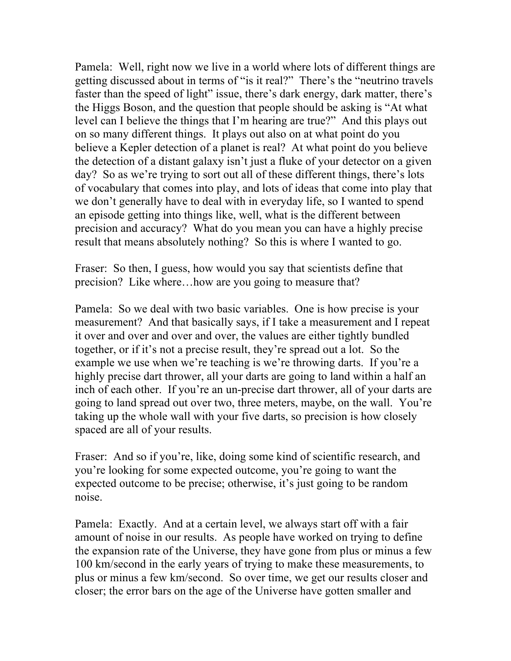Pamela: Well, right now we live in a world where lots of different things are getting discussed about in terms of "is it real?" There's the "neutrino travels faster than the speed of light" issue, there's dark energy, dark matter, there's the Higgs Boson, and the question that people should be asking is "At what level can I believe the things that I'm hearing are true?" And this plays out on so many different things. It plays out also on at what point do you believe a Kepler detection of a planet is real? At what point do you believe the detection of a distant galaxy isn't just a fluke of your detector on a given day? So as we're trying to sort out all of these different things, there's lots of vocabulary that comes into play, and lots of ideas that come into play that we don't generally have to deal with in everyday life, so I wanted to spend an episode getting into things like, well, what is the different between precision and accuracy? What do you mean you can have a highly precise result that means absolutely nothing? So this is where I wanted to go.

Fraser: So then, I guess, how would you say that scientists define that precision? Like where…how are you going to measure that?

Pamela: So we deal with two basic variables. One is how precise is your measurement? And that basically says, if I take a measurement and I repeat it over and over and over and over, the values are either tightly bundled together, or if it's not a precise result, they're spread out a lot. So the example we use when we're teaching is we're throwing darts. If you're a highly precise dart thrower, all your darts are going to land within a half an inch of each other. If you're an un-precise dart thrower, all of your darts are going to land spread out over two, three meters, maybe, on the wall. You're taking up the whole wall with your five darts, so precision is how closely spaced are all of your results.

Fraser: And so if you're, like, doing some kind of scientific research, and you're looking for some expected outcome, you're going to want the expected outcome to be precise; otherwise, it's just going to be random noise.

Pamela: Exactly. And at a certain level, we always start off with a fair amount of noise in our results. As people have worked on trying to define the expansion rate of the Universe, they have gone from plus or minus a few 100 km/second in the early years of trying to make these measurements, to plus or minus a few km/second. So over time, we get our results closer and closer; the error bars on the age of the Universe have gotten smaller and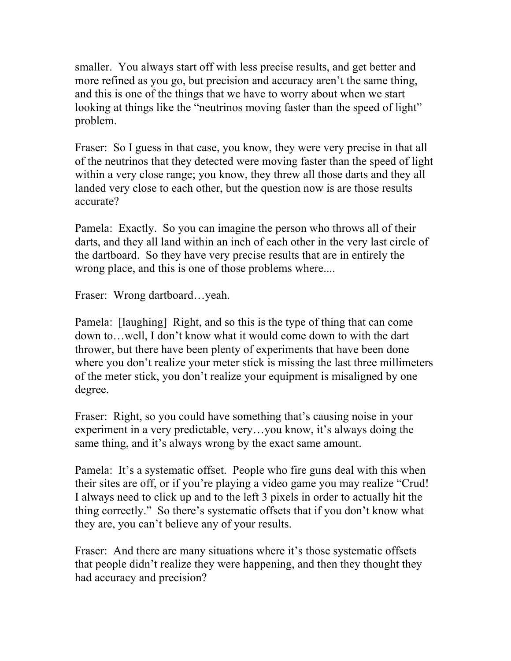smaller. You always start off with less precise results, and get better and more refined as you go, but precision and accuracy aren't the same thing, and this is one of the things that we have to worry about when we start looking at things like the "neutrinos moving faster than the speed of light" problem.

Fraser: So I guess in that case, you know, they were very precise in that all of the neutrinos that they detected were moving faster than the speed of light within a very close range; you know, they threw all those darts and they all landed very close to each other, but the question now is are those results accurate?

Pamela: Exactly. So you can imagine the person who throws all of their darts, and they all land within an inch of each other in the very last circle of the dartboard. So they have very precise results that are in entirely the wrong place, and this is one of those problems where....

Fraser: Wrong dartboard…yeah.

Pamela: [laughing] Right, and so this is the type of thing that can come down to…well, I don't know what it would come down to with the dart thrower, but there have been plenty of experiments that have been done where you don't realize your meter stick is missing the last three millimeters of the meter stick, you don't realize your equipment is misaligned by one degree.

Fraser: Right, so you could have something that's causing noise in your experiment in a very predictable, very…you know, it's always doing the same thing, and it's always wrong by the exact same amount.

Pamela: It's a systematic offset. People who fire guns deal with this when their sites are off, or if you're playing a video game you may realize "Crud! I always need to click up and to the left 3 pixels in order to actually hit the thing correctly." So there's systematic offsets that if you don't know what they are, you can't believe any of your results.

Fraser: And there are many situations where it's those systematic offsets that people didn't realize they were happening, and then they thought they had accuracy and precision?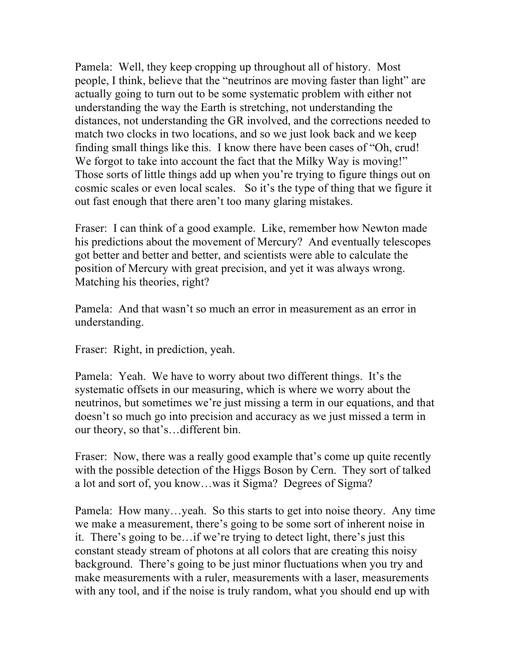Pamela: Well, they keep cropping up throughout all of history. Most people, I think, believe that the "neutrinos are moving faster than light" are actually going to turn out to be some systematic problem with either not understanding the way the Earth is stretching, not understanding the distances, not understanding the GR involved, and the corrections needed to match two clocks in two locations, and so we just look back and we keep finding small things like this. I know there have been cases of "Oh, crud! We forgot to take into account the fact that the Milky Way is moving!" Those sorts of little things add up when you're trying to figure things out on cosmic scales or even local scales. So it's the type of thing that we figure it out fast enough that there aren't too many glaring mistakes.

Fraser: I can think of a good example. Like, remember how Newton made his predictions about the movement of Mercury? And eventually telescopes got better and better and better, and scientists were able to calculate the position of Mercury with great precision, and yet it was always wrong. Matching his theories, right?

Pamela: And that wasn't so much an error in measurement as an error in understanding.

Fraser: Right, in prediction, yeah.

Pamela: Yeah. We have to worry about two different things. It's the systematic offsets in our measuring, which is where we worry about the neutrinos, but sometimes we're just missing a term in our equations, and that doesn't so much go into precision and accuracy as we just missed a term in our theory, so that's…different bin.

Fraser: Now, there was a really good example that's come up quite recently with the possible detection of the Higgs Boson by Cern. They sort of talked a lot and sort of, you know…was it Sigma? Degrees of Sigma?

Pamela: How many…yeah. So this starts to get into noise theory. Any time we make a measurement, there's going to be some sort of inherent noise in it. There's going to be…if we're trying to detect light, there's just this constant steady stream of photons at all colors that are creating this noisy background. There's going to be just minor fluctuations when you try and make measurements with a ruler, measurements with a laser, measurements with any tool, and if the noise is truly random, what you should end up with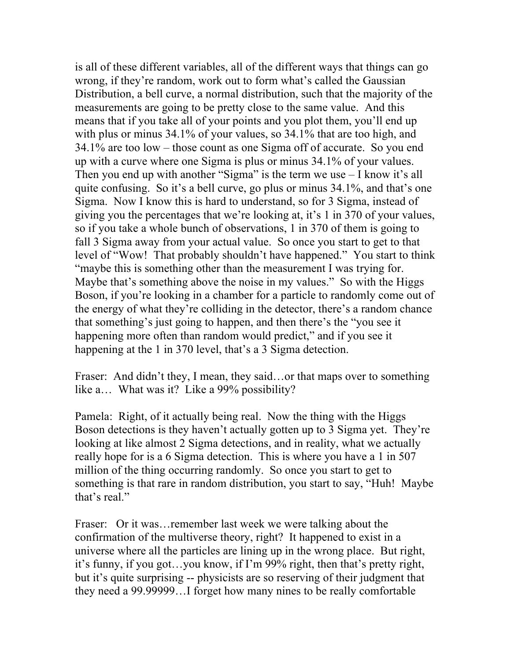is all of these different variables, all of the different ways that things can go wrong, if they're random, work out to form what's called the Gaussian Distribution, a bell curve, a normal distribution, such that the majority of the measurements are going to be pretty close to the same value. And this means that if you take all of your points and you plot them, you'll end up with plus or minus 34.1% of your values, so 34.1% that are too high, and 34.1% are too low – those count as one Sigma off of accurate. So you end up with a curve where one Sigma is plus or minus 34.1% of your values. Then you end up with another "Sigma" is the term we use – I know it's all quite confusing. So it's a bell curve, go plus or minus 34.1%, and that's one Sigma. Now I know this is hard to understand, so for 3 Sigma, instead of giving you the percentages that we're looking at, it's 1 in 370 of your values, so if you take a whole bunch of observations, 1 in 370 of them is going to fall 3 Sigma away from your actual value. So once you start to get to that level of "Wow! That probably shouldn't have happened." You start to think "maybe this is something other than the measurement I was trying for. Maybe that's something above the noise in my values." So with the Higgs Boson, if you're looking in a chamber for a particle to randomly come out of the energy of what they're colliding in the detector, there's a random chance that something's just going to happen, and then there's the "you see it happening more often than random would predict," and if you see it happening at the 1 in 370 level, that's a 3 Sigma detection.

Fraser: And didn't they, I mean, they said...or that maps over to something like a… What was it? Like a 99% possibility?

Pamela: Right, of it actually being real. Now the thing with the Higgs Boson detections is they haven't actually gotten up to 3 Sigma yet. They're looking at like almost 2 Sigma detections, and in reality, what we actually really hope for is a 6 Sigma detection. This is where you have a 1 in 507 million of the thing occurring randomly. So once you start to get to something is that rare in random distribution, you start to say, "Huh! Maybe that's real."

Fraser: Or it was…remember last week we were talking about the confirmation of the multiverse theory, right? It happened to exist in a universe where all the particles are lining up in the wrong place. But right, it's funny, if you got…you know, if I'm 99% right, then that's pretty right, but it's quite surprising -- physicists are so reserving of their judgment that they need a 99.99999…I forget how many nines to be really comfortable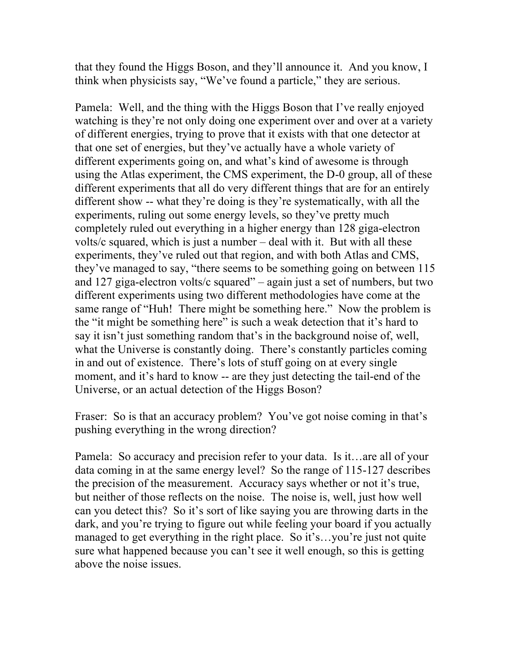that they found the Higgs Boson, and they'll announce it. And you know, I think when physicists say, "We've found a particle," they are serious.

Pamela: Well, and the thing with the Higgs Boson that I've really enjoyed watching is they're not only doing one experiment over and over at a variety of different energies, trying to prove that it exists with that one detector at that one set of energies, but they've actually have a whole variety of different experiments going on, and what's kind of awesome is through using the Atlas experiment, the CMS experiment, the D-0 group, all of these different experiments that all do very different things that are for an entirely different show -- what they're doing is they're systematically, with all the experiments, ruling out some energy levels, so they've pretty much completely ruled out everything in a higher energy than 128 giga-electron volts/c squared, which is just a number – deal with it. But with all these experiments, they've ruled out that region, and with both Atlas and CMS, they've managed to say, "there seems to be something going on between 115 and 127 giga-electron volts/c squared" – again just a set of numbers, but two different experiments using two different methodologies have come at the same range of "Huh! There might be something here." Now the problem is the "it might be something here" is such a weak detection that it's hard to say it isn't just something random that's in the background noise of, well, what the Universe is constantly doing. There's constantly particles coming in and out of existence. There's lots of stuff going on at every single moment, and it's hard to know -- are they just detecting the tail-end of the Universe, or an actual detection of the Higgs Boson?

Fraser: So is that an accuracy problem? You've got noise coming in that's pushing everything in the wrong direction?

Pamela: So accuracy and precision refer to your data. Is it…are all of your data coming in at the same energy level? So the range of 115-127 describes the precision of the measurement. Accuracy says whether or not it's true, but neither of those reflects on the noise. The noise is, well, just how well can you detect this? So it's sort of like saying you are throwing darts in the dark, and you're trying to figure out while feeling your board if you actually managed to get everything in the right place. So it's...you're just not quite sure what happened because you can't see it well enough, so this is getting above the noise issues.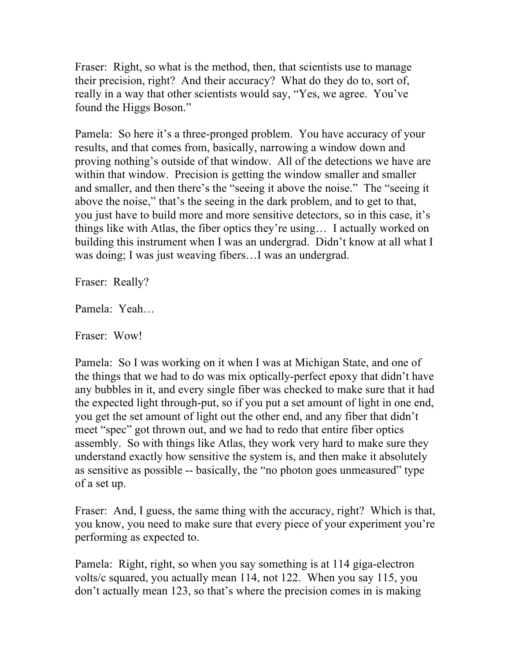Fraser: Right, so what is the method, then, that scientists use to manage their precision, right? And their accuracy? What do they do to, sort of, really in a way that other scientists would say, "Yes, we agree. You've found the Higgs Boson."

Pamela: So here it's a three-pronged problem. You have accuracy of your results, and that comes from, basically, narrowing a window down and proving nothing's outside of that window. All of the detections we have are within that window. Precision is getting the window smaller and smaller and smaller, and then there's the "seeing it above the noise." The "seeing it above the noise," that's the seeing in the dark problem, and to get to that, you just have to build more and more sensitive detectors, so in this case, it's things like with Atlas, the fiber optics they're using… I actually worked on building this instrument when I was an undergrad. Didn't know at all what I was doing; I was just weaving fibers…I was an undergrad.

Fraser: Really?

Pamela: Yeah…

Fraser: Wow!

Pamela: So I was working on it when I was at Michigan State, and one of the things that we had to do was mix optically-perfect epoxy that didn't have any bubbles in it, and every single fiber was checked to make sure that it had the expected light through-put, so if you put a set amount of light in one end, you get the set amount of light out the other end, and any fiber that didn't meet "spec" got thrown out, and we had to redo that entire fiber optics assembly. So with things like Atlas, they work very hard to make sure they understand exactly how sensitive the system is, and then make it absolutely as sensitive as possible -- basically, the "no photon goes unmeasured" type of a set up.

Fraser: And, I guess, the same thing with the accuracy, right? Which is that, you know, you need to make sure that every piece of your experiment you're performing as expected to.

Pamela: Right, right, so when you say something is at 114 giga-electron volts/c squared, you actually mean 114, not 122. When you say 115, you don't actually mean 123, so that's where the precision comes in is making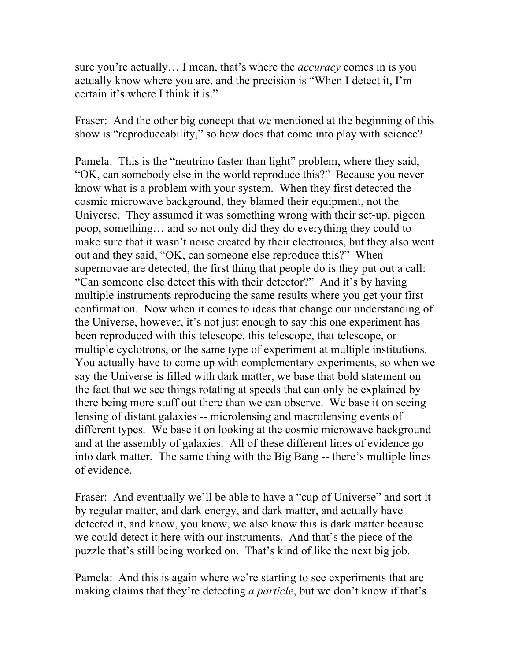sure you're actually… I mean, that's where the *accuracy* comes in is you actually know where you are, and the precision is "When I detect it, I'm certain it's where I think it is."

Fraser: And the other big concept that we mentioned at the beginning of this show is "reproduceability," so how does that come into play with science?

Pamela: This is the "neutrino faster than light" problem, where they said, "OK, can somebody else in the world reproduce this?" Because you never know what is a problem with your system. When they first detected the cosmic microwave background, they blamed their equipment, not the Universe. They assumed it was something wrong with their set-up, pigeon poop, something… and so not only did they do everything they could to make sure that it wasn't noise created by their electronics, but they also went out and they said, "OK, can someone else reproduce this?" When supernovae are detected, the first thing that people do is they put out a call: "Can someone else detect this with their detector?" And it's by having multiple instruments reproducing the same results where you get your first confirmation. Now when it comes to ideas that change our understanding of the Universe, however, it's not just enough to say this one experiment has been reproduced with this telescope, this telescope, that telescope, or multiple cyclotrons, or the same type of experiment at multiple institutions. You actually have to come up with complementary experiments, so when we say the Universe is filled with dark matter, we base that bold statement on the fact that we see things rotating at speeds that can only be explained by there being more stuff out there than we can observe. We base it on seeing lensing of distant galaxies -- microlensing and macrolensing events of different types. We base it on looking at the cosmic microwave background and at the assembly of galaxies. All of these different lines of evidence go into dark matter. The same thing with the Big Bang -- there's multiple lines of evidence.

Fraser: And eventually we'll be able to have a "cup of Universe" and sort it by regular matter, and dark energy, and dark matter, and actually have detected it, and know, you know, we also know this is dark matter because we could detect it here with our instruments. And that's the piece of the puzzle that's still being worked on. That's kind of like the next big job.

Pamela: And this is again where we're starting to see experiments that are making claims that they're detecting *a particle*, but we don't know if that's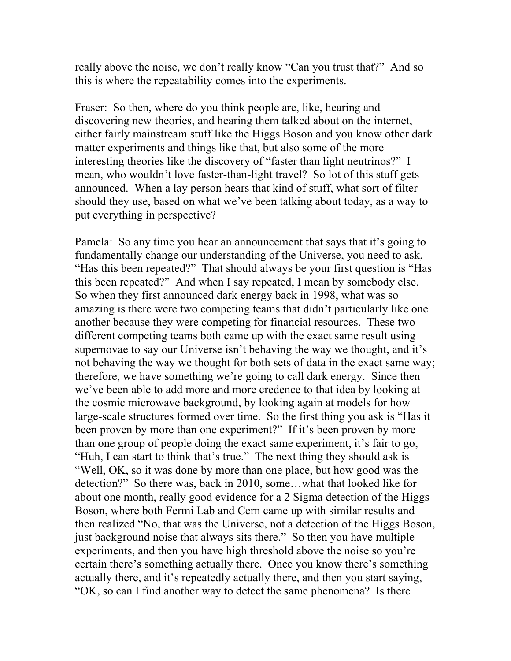really above the noise, we don't really know "Can you trust that?" And so this is where the repeatability comes into the experiments.

Fraser: So then, where do you think people are, like, hearing and discovering new theories, and hearing them talked about on the internet, either fairly mainstream stuff like the Higgs Boson and you know other dark matter experiments and things like that, but also some of the more interesting theories like the discovery of "faster than light neutrinos?" I mean, who wouldn't love faster-than-light travel? So lot of this stuff gets announced. When a lay person hears that kind of stuff, what sort of filter should they use, based on what we've been talking about today, as a way to put everything in perspective?

Pamela: So any time you hear an announcement that says that it's going to fundamentally change our understanding of the Universe, you need to ask, "Has this been repeated?" That should always be your first question is "Has this been repeated?" And when I say repeated, I mean by somebody else. So when they first announced dark energy back in 1998, what was so amazing is there were two competing teams that didn't particularly like one another because they were competing for financial resources. These two different competing teams both came up with the exact same result using supernovae to say our Universe isn't behaving the way we thought, and it's not behaving the way we thought for both sets of data in the exact same way; therefore, we have something we're going to call dark energy. Since then we've been able to add more and more credence to that idea by looking at the cosmic microwave background, by looking again at models for how large-scale structures formed over time. So the first thing you ask is "Has it been proven by more than one experiment?" If it's been proven by more than one group of people doing the exact same experiment, it's fair to go, "Huh, I can start to think that's true." The next thing they should ask is "Well, OK, so it was done by more than one place, but how good was the detection?" So there was, back in 2010, some…what that looked like for about one month, really good evidence for a 2 Sigma detection of the Higgs Boson, where both Fermi Lab and Cern came up with similar results and then realized "No, that was the Universe, not a detection of the Higgs Boson, just background noise that always sits there." So then you have multiple experiments, and then you have high threshold above the noise so you're certain there's something actually there. Once you know there's something actually there, and it's repeatedly actually there, and then you start saying, "OK, so can I find another way to detect the same phenomena? Is there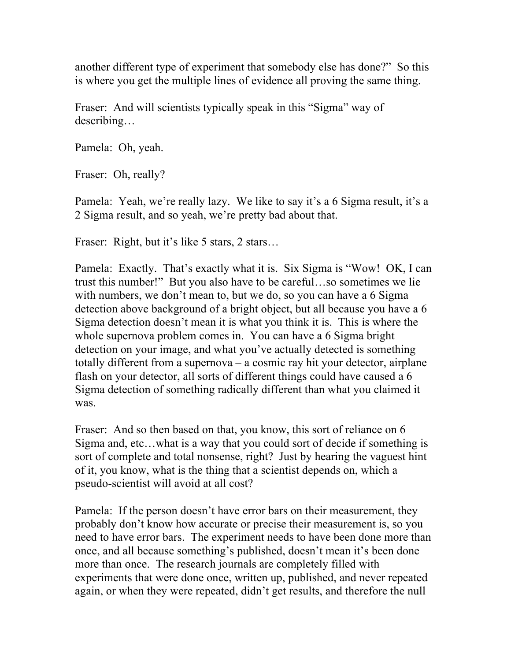another different type of experiment that somebody else has done?" So this is where you get the multiple lines of evidence all proving the same thing.

Fraser: And will scientists typically speak in this "Sigma" way of describing…

Pamela: Oh, yeah.

Fraser: Oh, really?

Pamela: Yeah, we're really lazy. We like to say it's a 6 Sigma result, it's a 2 Sigma result, and so yeah, we're pretty bad about that.

Fraser: Right, but it's like 5 stars, 2 stars...

Pamela: Exactly. That's exactly what it is. Six Sigma is "Wow! OK, I can trust this number!" But you also have to be careful…so sometimes we lie with numbers, we don't mean to, but we do, so you can have a 6 Sigma detection above background of a bright object, but all because you have a 6 Sigma detection doesn't mean it is what you think it is. This is where the whole supernova problem comes in. You can have a 6 Sigma bright detection on your image, and what you've actually detected is something totally different from a supernova – a cosmic ray hit your detector, airplane flash on your detector, all sorts of different things could have caused a 6 Sigma detection of something radically different than what you claimed it was.

Fraser: And so then based on that, you know, this sort of reliance on 6 Sigma and, etc…what is a way that you could sort of decide if something is sort of complete and total nonsense, right? Just by hearing the vaguest hint of it, you know, what is the thing that a scientist depends on, which a pseudo-scientist will avoid at all cost?

Pamela: If the person doesn't have error bars on their measurement, they probably don't know how accurate or precise their measurement is, so you need to have error bars. The experiment needs to have been done more than once, and all because something's published, doesn't mean it's been done more than once. The research journals are completely filled with experiments that were done once, written up, published, and never repeated again, or when they were repeated, didn't get results, and therefore the null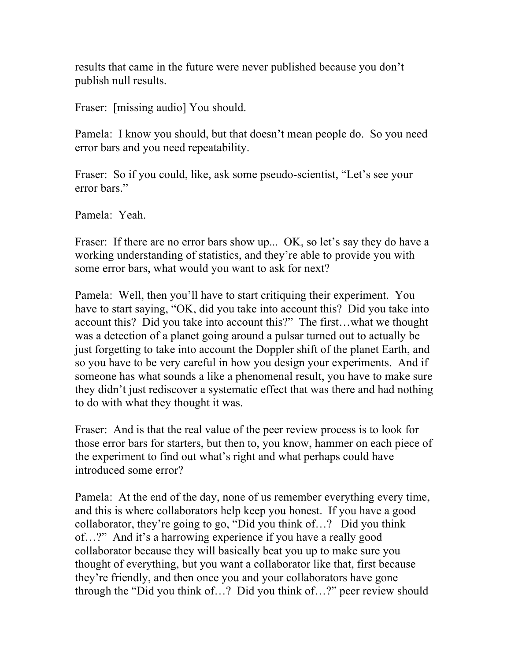results that came in the future were never published because you don't publish null results.

Fraser: [missing audio] You should.

Pamela: I know you should, but that doesn't mean people do. So you need error bars and you need repeatability.

Fraser: So if you could, like, ask some pseudo-scientist, "Let's see your error bars."

Pamela: Yeah.

Fraser: If there are no error bars show up... OK, so let's say they do have a working understanding of statistics, and they're able to provide you with some error bars, what would you want to ask for next?

Pamela: Well, then you'll have to start critiquing their experiment. You have to start saying, "OK, did you take into account this? Did you take into account this? Did you take into account this?" The first…what we thought was a detection of a planet going around a pulsar turned out to actually be just forgetting to take into account the Doppler shift of the planet Earth, and so you have to be very careful in how you design your experiments. And if someone has what sounds a like a phenomenal result, you have to make sure they didn't just rediscover a systematic effect that was there and had nothing to do with what they thought it was.

Fraser: And is that the real value of the peer review process is to look for those error bars for starters, but then to, you know, hammer on each piece of the experiment to find out what's right and what perhaps could have introduced some error?

Pamela: At the end of the day, none of us remember everything every time, and this is where collaborators help keep you honest. If you have a good collaborator, they're going to go, "Did you think of…? Did you think of…?" And it's a harrowing experience if you have a really good collaborator because they will basically beat you up to make sure you thought of everything, but you want a collaborator like that, first because they're friendly, and then once you and your collaborators have gone through the "Did you think of…? Did you think of…?" peer review should